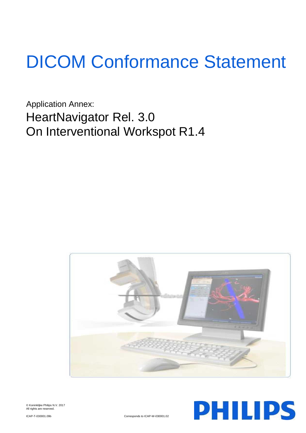# DICOM Conformance Statement

Application Annex: HeartNavigator Rel. 3.0 On Interventional Workspot R1.4





© Koninklijke Philips N.V. 2017 All rights are reserved.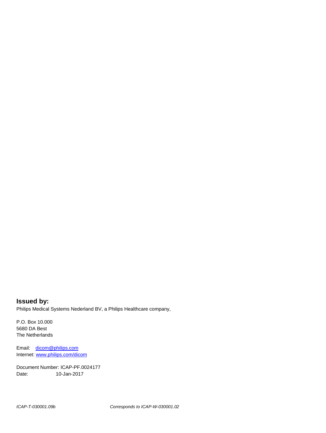**Issued by:** Philips Medical Systems Nederland BV, a Philips Healthcare company,

P.O. Box 10.000 5680 DA Best The Netherlands

Email: [dicom@philips.com](mailto:dicom@philips.com) Internet[: www.philips.com/dicom](http://www.philips.com/dicom)

Document Number: ICAP-PF.0024177 Date: 10-Jan-2017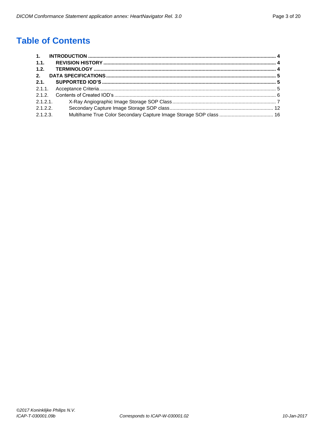# **Table of Contents**

| 1.1.     |  |
|----------|--|
| 1.2.     |  |
| 2.       |  |
| 2.1.     |  |
|          |  |
|          |  |
| 2.1.2.1  |  |
| 2.1.2.2  |  |
| 2.1.2.3. |  |
|          |  |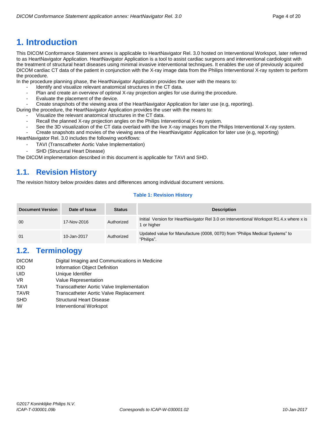# <span id="page-3-0"></span>**1. Introduction**

This DICOM Conformance Statement annex is applicable to HeartNavigator Rel. 3.0 hosted on Interventional Workspot, later referred to as HeartNavigator Application. HeartNavigator Application is a tool to assist cardiac surgeons and interventional cardiologist with the treatment of structural heart diseases using minimal invasive interventional techniques. It enables the use of previously acquired DICOM cardiac CT data of the patient in conjunction with the X-ray image data from the Philips Interventional X-ray system to perform the procedure.

In the procedure planning phase, the HeartNavigator Application provides the user with the means to:

- Identify and visualize relevant anatomical structures in the CT data.
- Plan and create an overview of optimal X-ray projection angles for use during the procedure.
- Evaluate the placement of the device.
- Create snapshots of the viewing area of the HeartNavigator Application for later use (e.g, reporting).

During the procedure, the HeartNavigator Application provides the user with the means to:

- Visualize the relevant anatomical structures in the CT data.
- Recall the planned X-ray projection angles on the Philips Interventional X-ray system.
- See the 3D visualization of the CT data overlaid with the live X-ray images from the Philips Interventional X-ray system.
- Create snapshots and movies of the viewing area of the HeartNavigator Application for later use (e.g, reporting)

HeartNavigator Rel. 3.0 includes the following workflows:

- TAVI (Transcatheter Aortic Valve Implementation)
- SHD (Structural Heart Disease)

The DICOM implementation described in this document is applicable for TAVI and SHD.

# <span id="page-3-1"></span>**1.1. Revision History**

The revision history below provides dates and differences among individual document versions.

# **Table 1: Revision History**

| <b>Document Version</b> | Date of Issue | <b>Status</b> | <b>Description</b>                                                                                     |
|-------------------------|---------------|---------------|--------------------------------------------------------------------------------------------------------|
| 00                      | 17-Nov-2016   | Authorized    | Initial Version for HeartNavigator Rel 3.0 on Interventional Workspot R1.4.x where x is<br>1 or higher |
| 01                      | 10-Jan-2017   | Authorized    | Updated value for Manufacture (0008, 0070) from "Philips Medical Systems" to<br>"Philips".             |

# <span id="page-3-2"></span>**1.2. Terminology**

| <b>DICOM</b> | Digital Imaging and Communications in Medicine |
|--------------|------------------------------------------------|
| <b>IOD</b>   | Information Object Definition                  |
| UID          | Unique Identifier                              |
| VR.          | Value Representation                           |
| <b>TAVI</b>  | Transcatheter Aortic Valve Implementation      |
| <b>TAVR</b>  | Transcatheter Aortic Valve Replacement         |
| <b>SHD</b>   | <b>Structural Heart Disease</b>                |
| IW           | Interventional Workspot                        |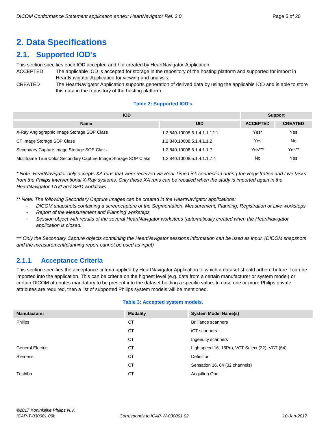# <span id="page-4-0"></span>**2. Data Specifications**

# <span id="page-4-1"></span>**2.1. Supported IOD's**

This section specifies each IOD accepted and / or created by HeartNavigator Application.

- ACCEPTED The applicable IOD is accepted for storage in the repository of the hosting platform and supported for import in HeartNavigator Application for viewing and analysis.
- CREATED The HeartNavigator Application supports generation of derived data by using the applicable IOD and is able to store this data in the repository of the hosting platform.

#### **Table 2: Supported IOD's**

| <b>IOD</b>                                                      | <b>Support</b>               |                 |                |
|-----------------------------------------------------------------|------------------------------|-----------------|----------------|
| <b>Name</b>                                                     | <b>UID</b>                   | <b>ACCEPTED</b> | <b>CREATED</b> |
| X-Ray Angiographic Image Storage SOP Class                      | 1.2.840.10008.5.1.4.1.1.12.1 | Yes*            | Yes            |
| CT Image Storage SOP Class                                      | 1.2.840.10008.5.1.4.1.1.2    | Yes             | No             |
| Secondary Capture Image Storage SOP Class                       | 1.2.840.10008.5.1.4.1.1.7    | Yes***          | Yes**          |
| Multiframe True Color Secondary Capture Image Storage SOP Class | 1.2.840.10008.5.1.4.1.1.7.4  | No              | Yes            |

*\* Note: HeartNavigator only accepts XA runs that were received via Real Time Link connection during the Registration and Live tasks from the Philips Interventional X-Ray systems. Only these XA runs can be recalled when the study is imported again in the HeartNavigator TAVI and SHD workflows.*

*\*\* Note: The following Secondary Capture Images can be created in the HeartNavigator applications:*

- *DICOM snapshots containing a screencapture of the Segmentation, Measurement, Planning, Registration or Live worksteps*
- *Report of the Measurement and Planning worksteps*
- *Session object with results of the several HeartNavigator worksteps (automatically created when the HeartNavigator application is closed.*

\*\*\* *Only the Secondary Capture objects containing the HeartNavigator sessions information can be used as input. (DICOM snapshots and the measurement/planning report cannot be used as input)*

# <span id="page-4-2"></span>**2.1.1. Acceptance Criteria**

This section specifies the acceptance criteria applied by HeartNavigator Application to which a dataset should adhere before it can be imported into the application. This can be criteria on the highest level (e.g. data from a certain manufacturer or system model) or certain DICOM attributes mandatory to be present into the dataset holding a specific value. In case one or more Philips private attributes are required, then a list of supported Philips system models will be mentioned.

#### **Table 3: Accepted system models.**

| <b>Manufacturer</b>     | <b>Modality</b> | <b>System Model Name(s)</b>                     |
|-------------------------|-----------------|-------------------------------------------------|
| Philips                 | СT              | <b>Brilliance scanners</b>                      |
|                         | СT              | iCT scanners                                    |
|                         | СT              | Ingenuity scanners                              |
| <b>General Electric</b> | СT              | Lightspeed 16, 16Pro, VCT Select (32), VCT (64) |
| <b>Siemens</b>          | СT              | <b>Definition</b>                               |
|                         | СT              | Sensation 16, 64 (32 channels)                  |
| Toshiba                 | СT              | <b>Acquilion One</b>                            |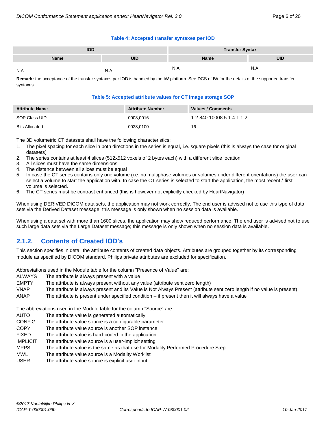#### **Table 4: Accepted transfer syntaxes per IOD**

| IOD         |            | <b>Transfer Syntax</b> |            |  |  |
|-------------|------------|------------------------|------------|--|--|
| <b>Name</b> | <b>UID</b> | Name                   | <b>UID</b> |  |  |
| N.A         |            | N.A                    | N.A        |  |  |

**Remark:** the acceptance of the transfer syntaxes per IOD is handled by the IW platform. See DCS of IW for the details of the supported transfer syntaxes.

#### **Table 5: Accepted attribute values for CT image storage SOP**

| <b>Attribute Name</b> | <b>Attribute Number</b> | Values / Comments         |
|-----------------------|-------------------------|---------------------------|
| SOP Class UID         | 0008.0016               | 1.2.840.10008.5.1.4.1.1.2 |
| <b>Bits Allocated</b> | 0028,0100               | 16                        |

The 3D volumetric CT datasets shall have the following characteristics:

- 1. The pixel spacing for each slice in both directions in the series is equal, i.e. square pixels (this is always the case for original datasets)
- 2. The series contains at least 4 slices (512x512 voxels of 2 bytes each) with a different slice location
- 3. All slices must have the same dimensions
- 4. The distance between all slices must be equal
- 5. In case the CT series contains only one volume (i.e. no multiphase volumes or volumes under different orientations) the user can select a volume to start the application with. In case the CT series is selected to start the application, the most recent / first volume is selected.
- 6. The CT series must be contrast enhanced (this is however not explicitly checked by HeartNavigator)

When using DERIVED DICOM data sets, the application may not work correctly. The end user is advised not to use this type of data sets via the Derived Dataset message; this message is only shown when no session data is available.

When using a data set with more than 1600 slices, the application may show reduced performance. The end user is advised not to use such large data sets via the Large Dataset message; this message is only shown when no session data is available.

# <span id="page-5-0"></span>**2.1.2. Contents of Created IOD's**

This section specifies in detail the attribute contents of created data objects. Attributes are grouped together by its corresponding module as specified by DICOM standard. Philips private attributes are excluded for specification.

Abbreviations used in the Module table for the column "Presence of Value" are:

- ALWAYS The attribute is always present with a value
- EMPTY The attribute is always present without any value (attribute sent zero length)
- VNAP The attribute is always present and its Value is Not Always Present (attribute sent zero length if no value is present) ANAP The attribute is present under specified condition – if present then it will always have a value

The abbreviations used in the Module table for the column "Source" are:

- AUTO The attribute value is generated automatically
- CONFIG The attribute value source is a configurable parameter
- COPY The attribute value source is another SOP instance
- FIXED The attribute value is hard-coded in the application
- IMPLICIT The attribute value source is a user-implicit setting
- MPPS The attribute value is the same as that use for Modality Performed Procedure Step
- MWL The attribute value source is a Modality Worklist
- USER The attribute value source is explicit user input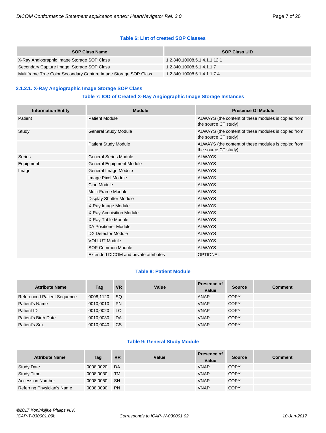## **Table 6: List of created SOP Classes**

| <b>SOP Class Name</b>                                           | <b>SOP Class UID</b>         |
|-----------------------------------------------------------------|------------------------------|
| X-Ray Angiographic Image Storage SOP Class                      | 1.2.840.10008.5.1.4.1.1.12.1 |
| Secondary Capture Image Storage SOP Class                       | 1.2.840.10008.5.1.4.1.1.7    |
| Multiframe True Color Secondary Capture Image Storage SOP Class | 1.2.840.10008.5.1.4.1.1.7.4  |

# <span id="page-6-0"></span>**2.1.2.1. X-Ray Angiographic Image Storage SOP Class**

# **Table 7: IOD of Created X-Ray Angiographic Image Storage Instances**

| <b>Information Entity</b> | <b>Module</b>                         | <b>Presence Of Module</b>                                                   |  |  |
|---------------------------|---------------------------------------|-----------------------------------------------------------------------------|--|--|
| Patient                   | <b>Patient Module</b>                 | ALWAYS (the content of these modules is copied from<br>the source CT study) |  |  |
| Study                     | <b>General Study Module</b>           | ALWAYS (the content of these modules is copied from<br>the source CT study) |  |  |
|                           | Patient Study Module                  | ALWAYS (the content of these modules is copied from<br>the source CT study) |  |  |
| <b>Series</b>             | <b>General Series Module</b>          | <b>ALWAYS</b>                                                               |  |  |
| Equipment                 | <b>General Equipment Module</b>       | <b>ALWAYS</b>                                                               |  |  |
| Image                     | General Image Module                  | <b>ALWAYS</b>                                                               |  |  |
|                           | Image Pixel Module                    | <b>ALWAYS</b>                                                               |  |  |
|                           | Cine Module                           | <b>ALWAYS</b>                                                               |  |  |
|                           | Multi-Frame Module                    | <b>ALWAYS</b>                                                               |  |  |
|                           | Display Shutter Module                | <b>ALWAYS</b>                                                               |  |  |
|                           | X-Ray Image Module                    | <b>ALWAYS</b>                                                               |  |  |
|                           | X-Ray Acquisition Module              | <b>ALWAYS</b>                                                               |  |  |
|                           | X-Ray Table Module                    | <b>ALWAYS</b>                                                               |  |  |
|                           | <b>XA Positioner Module</b>           | <b>ALWAYS</b>                                                               |  |  |
|                           | DX Detector Module                    | <b>ALWAYS</b>                                                               |  |  |
|                           | <b>VOI LUT Module</b>                 | <b>ALWAYS</b>                                                               |  |  |
|                           | <b>SOP Common Module</b>              | <b>ALWAYS</b>                                                               |  |  |
|                           | Extended DICOM and private attributes | <b>OPTIONAL</b>                                                             |  |  |

#### **Table 8: Patient Module**

| <b>Attribute Name</b>              | Tag       | <b>VR</b>     | Value | <b>Presence of</b><br>Value | <b>Source</b> | <b>Comment</b> |
|------------------------------------|-----------|---------------|-------|-----------------------------|---------------|----------------|
| <b>Referenced Patient Sequence</b> | 0008,1120 | -SQ           |       | ANAP                        | <b>COPY</b>   |                |
| Patient's Name                     | 0010.0010 | <b>PN</b>     |       | <b>VNAP</b>                 | <b>COPY</b>   |                |
| Patient ID                         | 0010.0020 | LO            |       | <b>VNAP</b>                 | <b>COPY</b>   |                |
| Patient's Birth Date               | 0010,0030 | DA            |       | <b>VNAP</b>                 | <b>COPY</b>   |                |
| Patient's Sex                      | 0010,0040 | <sub>CS</sub> |       | <b>VNAP</b>                 | <b>COPY</b>   |                |

#### **Table 9: General Study Module**

| <b>Attribute Name</b>      | Tag       | <b>VR</b> | Value | <b>Presence of</b><br>Value | <b>Source</b> | <b>Comment</b> |
|----------------------------|-----------|-----------|-------|-----------------------------|---------------|----------------|
| <b>Study Date</b>          | 0008,0020 | DA        |       | <b>VNAP</b>                 | <b>COPY</b>   |                |
| <b>Study Time</b>          | 0008,0030 | TM        |       | <b>VNAP</b>                 | <b>COPY</b>   |                |
| <b>Accession Number</b>    | 0008,0050 | <b>SH</b> |       | <b>VNAP</b>                 | <b>COPY</b>   |                |
| Referring Physician's Name | 0008,0090 | <b>PN</b> |       | <b>VNAP</b>                 | <b>COPY</b>   |                |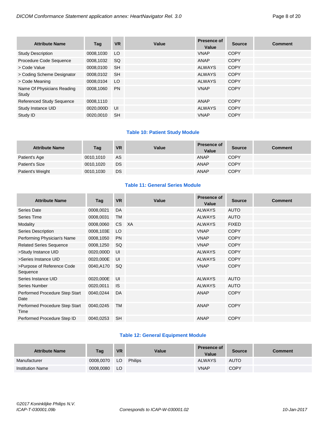| <b>Attribute Name</b>               | Tag       | <b>VR</b> | Value | <b>Presence of</b><br>Value | <b>Source</b> | <b>Comment</b> |
|-------------------------------------|-----------|-----------|-------|-----------------------------|---------------|----------------|
| <b>Study Description</b>            | 0008,1030 | LO.       |       | <b>VNAP</b>                 | <b>COPY</b>   |                |
| Procedure Code Sequence             | 0008,1032 | SQ.       |       | ANAP                        | <b>COPY</b>   |                |
| > Code Value                        | 0008.0100 | <b>SH</b> |       | <b>ALWAYS</b>               | <b>COPY</b>   |                |
| > Coding Scheme Designator          | 0008,0102 | <b>SH</b> |       | <b>ALWAYS</b>               | <b>COPY</b>   |                |
| > Code Meaning                      | 0008,0104 | LO.       |       | <b>ALWAYS</b>               | <b>COPY</b>   |                |
| Name Of Physicians Reading<br>Study | 0008.1060 | <b>PN</b> |       | <b>VNAP</b>                 | <b>COPY</b>   |                |
| <b>Referenced Study Sequence</b>    | 0008,1110 |           |       | <b>ANAP</b>                 | <b>COPY</b>   |                |
| Study Instance UID                  | 0020,000D | <b>UI</b> |       | <b>ALWAYS</b>               | <b>COPY</b>   |                |
| Study ID                            | 0020.0010 | <b>SH</b> |       | <b>VNAP</b>                 | <b>COPY</b>   |                |

# **Table 10: Patient Study Module**

| <b>Attribute Name</b> | Tag       | <b>VR</b> | Value | <b>Presence of</b><br>Value | <b>Source</b> | <b>Comment</b> |
|-----------------------|-----------|-----------|-------|-----------------------------|---------------|----------------|
| Patient's Age         | 0010.1010 | AS        |       | ANAP                        | <b>COPY</b>   |                |
| Patient's Size        | 0010,1020 | <b>DS</b> |       | <b>ANAP</b>                 | <b>COPY</b>   |                |
| Patient's Weight      | 0010,1030 | DS.       |       | <b>ANAP</b>                 | <b>COPY</b>   |                |

#### **Table 11: General Series Module**

| <b>Attribute Name</b>                  | <b>Tag</b> | <b>VR</b> | Value | <b>Presence of</b><br>Value | <b>Source</b> | <b>Comment</b> |
|----------------------------------------|------------|-----------|-------|-----------------------------|---------------|----------------|
| Series Date                            | 0008,0021  | DA        |       | <b>ALWAYS</b>               | <b>AUTO</b>   |                |
| Series Time                            | 0008,0031  | <b>TM</b> |       | <b>ALWAYS</b>               | <b>AUTO</b>   |                |
| Modality                               | 0008,0060  | CS XA     |       | <b>ALWAYS</b>               | <b>FIXED</b>  |                |
| Series Description                     | 0008,103E  | LO        |       | <b>VNAP</b>                 | <b>COPY</b>   |                |
| Performing Physician's Name            | 0008,1050  | <b>PN</b> |       | <b>VNAP</b>                 | <b>COPY</b>   |                |
| <b>Related Series Sequence</b>         | 0008,1250  | SQ        |       | <b>VNAP</b>                 | <b>COPY</b>   |                |
| >Study Instance UID                    | 0020,000D  | UI        |       | <b>ALWAYS</b>               | <b>COPY</b>   |                |
| >Series Instance UID                   | 0020,000E  | UI        |       | <b>ALWAYS</b>               | <b>COPY</b>   |                |
| >Purpose of Reference Code<br>Sequence | 0040,A170  | <b>SQ</b> |       | <b>VNAP</b>                 | <b>COPY</b>   |                |
| Series Instance UID                    | 0020,000E  | UI        |       | <b>ALWAYS</b>               | <b>AUTO</b>   |                |
| Series Number                          | 0020,0011  | <b>IS</b> |       | <b>ALWAYS</b>               | <b>AUTO</b>   |                |
| Performed Procedure Step Start<br>Date | 0040,0244  | DA        |       | <b>ANAP</b>                 | <b>COPY</b>   |                |
| Performed Procedure Step Start<br>Time | 0040,0245  | <b>TM</b> |       | <b>ANAP</b>                 | <b>COPY</b>   |                |
| Performed Procedure Step ID            | 0040,0253  | <b>SH</b> |       | <b>ANAP</b>                 | <b>COPY</b>   |                |

# **Table 12: General Equipment Module**

| <b>Attribute Name</b>   | Tag       | <b>VR</b> | Value          | <b>Presence of</b><br>Value | <b>Source</b> | <b>Comment</b> |
|-------------------------|-----------|-----------|----------------|-----------------------------|---------------|----------------|
| Manufacturer            | 0008.0070 | LO        | <b>Philips</b> | <b>ALWAYS</b>               | <b>AUTO</b>   |                |
| <b>Institution Name</b> | 0008,0080 | LO        |                | <b>VNAP</b>                 | <b>COPY</b>   |                |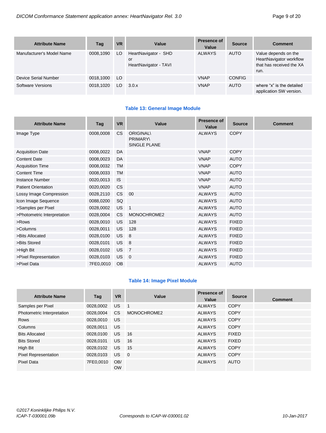| <b>Attribute Name</b>     | Tag       | <b>VR</b> | Value                                               | Presence of<br>Value | <b>Source</b> | <b>Comment</b>                                                                      |
|---------------------------|-----------|-----------|-----------------------------------------------------|----------------------|---------------|-------------------------------------------------------------------------------------|
| Manufacturer's Model Name | 0008.1090 | LO        | HeartNavigator - SHD<br>or<br>HeartNavigator - TAVI | <b>ALWAYS</b>        | <b>AUTO</b>   | Value depends on the<br>HeartNavigator workflow<br>that has received the XA<br>run. |
| Device Serial Number      | 0018,1000 | LO.       |                                                     | <b>VNAP</b>          | <b>CONFIG</b> |                                                                                     |
| Software Versions         | 0018.1020 | LO.       | 3.0.x                                               | <b>VNAP</b>          | <b>AUTO</b>   | where "x" is the detailed<br>application SW version.                                |

# **Table 13: General Image Module**

| <b>Attribute Name</b>       | Tag       | <b>VR</b> | Value                                               | Presence of<br>Value | <b>Source</b> | <b>Comment</b> |
|-----------------------------|-----------|-----------|-----------------------------------------------------|----------------------|---------------|----------------|
| Image Type                  | 0008,0008 | CS        | <b>ORIGINAL\</b><br><b>PRIMARY\</b><br>SINGLE PLANE | <b>ALWAYS</b>        | <b>COPY</b>   |                |
| <b>Acquisition Date</b>     | 0008,0022 | DA        |                                                     | <b>VNAP</b>          | <b>COPY</b>   |                |
| <b>Content Date</b>         | 0008,0023 | DA        |                                                     | <b>VNAP</b>          | <b>AUTO</b>   |                |
| <b>Acquisition Time</b>     | 0008,0032 | <b>TM</b> |                                                     | <b>VNAP</b>          | <b>COPY</b>   |                |
| <b>Content Time</b>         | 0008,0033 | <b>TM</b> |                                                     | <b>VNAP</b>          | <b>AUTO</b>   |                |
| Instance Number             | 0020,0013 | <b>IS</b> |                                                     | <b>VNAP</b>          | <b>AUTO</b>   |                |
| <b>Patient Orientation</b>  | 0020,0020 | <b>CS</b> |                                                     | <b>VNAP</b>          | <b>AUTO</b>   |                |
| Lossy Image Compression     | 0028,2110 | <b>CS</b> | 00                                                  | <b>ALWAYS</b>        | <b>AUTO</b>   |                |
| Icon Image Sequence         | 0088,0200 | SQ        |                                                     | <b>ALWAYS</b>        | <b>AUTO</b>   |                |
| >Samples per Pixel          | 0028,0002 | <b>US</b> | $\overline{1}$                                      | <b>ALWAYS</b>        | <b>AUTO</b>   |                |
| >Photometric Interpretation | 0028,0004 | CS        | MONOCHROME2                                         | <b>ALWAYS</b>        | <b>AUTO</b>   |                |
| >Rows                       | 0028,0010 | US.       | 128                                                 | <b>ALWAYS</b>        | <b>FIXED</b>  |                |
| >Columns                    | 0028,0011 | US        | 128                                                 | <b>ALWAYS</b>        | <b>FIXED</b>  |                |
| >Bits Allocated             | 0028,0100 | <b>US</b> | 8                                                   | <b>ALWAYS</b>        | <b>FIXED</b>  |                |
| >Bits Stored                | 0028,0101 | US        | 8                                                   | <b>ALWAYS</b>        | <b>FIXED</b>  |                |
| >High Bit                   | 0028,0102 | US.       | $\overline{7}$                                      | <b>ALWAYS</b>        | <b>FIXED</b>  |                |
| >Pixel Representation       | 0028,0103 | US.       | $\overline{0}$                                      | <b>ALWAYS</b>        | <b>FIXED</b>  |                |
| >Pixel Data                 | 7FE0,0010 | <b>OB</b> |                                                     | <b>ALWAYS</b>        | <b>AUTO</b>   |                |

# **Table 14: Image Pixel Module**

| <b>Attribute Name</b>       | Tag       | <b>VR</b>        | Value          | <b>Presence of</b><br>Value | <b>Source</b> | <b>Comment</b> |
|-----------------------------|-----------|------------------|----------------|-----------------------------|---------------|----------------|
| Samples per Pixel           | 0028,0002 | US.              | $\overline{1}$ | <b>ALWAYS</b>               | <b>COPY</b>   |                |
| Photometric Interpretation  | 0028,0004 | CS.              | MONOCHROME2    | <b>ALWAYS</b>               | <b>COPY</b>   |                |
| Rows                        | 0028,0010 | US.              |                | <b>ALWAYS</b>               | <b>COPY</b>   |                |
| Columns                     | 0028,0011 | <b>US</b>        |                | <b>ALWAYS</b>               | <b>COPY</b>   |                |
| <b>Bits Allocated</b>       | 0028,0100 | US.              | 16             | <b>ALWAYS</b>               | <b>FIXED</b>  |                |
| <b>Bits Stored</b>          | 0028.0101 | US.              | 16             | <b>ALWAYS</b>               | <b>FIXED</b>  |                |
| High Bit                    | 0028,0102 | US.              | 15             | <b>ALWAYS</b>               | <b>COPY</b>   |                |
| <b>Pixel Representation</b> | 0028,0103 | US.              | $\overline{0}$ | <b>ALWAYS</b>               | <b>COPY</b>   |                |
| <b>Pixel Data</b>           | 7FE0.0010 | OB/<br><b>OW</b> |                | <b>ALWAYS</b>               | <b>AUTO</b>   |                |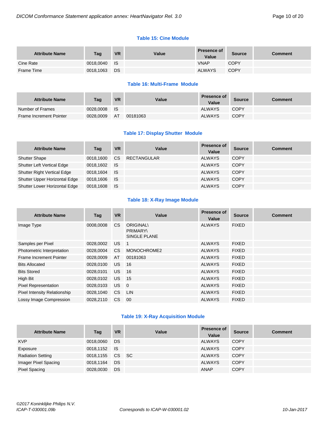#### **Table 15: Cine Module**

| <b>Attribute Name</b> | Tag       | <b>VR</b>   | Value | <b>Presence of</b><br>Value | <b>Source</b> | <b>Comment</b> |
|-----------------------|-----------|-------------|-------|-----------------------------|---------------|----------------|
| Cine Rate             | 0018,0040 | <b>I</b> IS |       | <b>VNAP</b>                 | COPY          |                |
| Frame Time            | 0018,1063 | DS          |       | <b>ALWAYS</b>               | <b>COPY</b>   |                |

#### **Table 16: Multi-Frame Module**

| <b>Attribute Name</b>   | Tag       | <b>VR</b> | Value    | <b>Presence of</b><br>Value | Source      | Comment |
|-------------------------|-----------|-----------|----------|-----------------------------|-------------|---------|
| Number of Frames        | 0028.0008 | - IS      |          | <b>ALWAYS</b>               | <b>COPY</b> |         |
| Frame Increment Pointer | 0028.0009 | AT        | 00181063 | <b>ALWAYS</b>               | <b>COPY</b> |         |

# **Table 17: Display Shutter Module**

| <b>Attribute Name</b>             | Tag       | <b>VR</b> | Value              | <b>Presence of</b><br>Value | <b>Source</b> | <b>Comment</b> |
|-----------------------------------|-----------|-----------|--------------------|-----------------------------|---------------|----------------|
| <b>Shutter Shape</b>              | 0018.1600 | CS.       | <b>RECTANGULAR</b> | <b>ALWAYS</b>               | <b>COPY</b>   |                |
| <b>Shutter Left Vertical Edge</b> | 0018,1602 | <b>IS</b> |                    | <b>ALWAYS</b>               | <b>COPY</b>   |                |
| Shutter Right Vertical Edge       | 0018.1604 | <b>IS</b> |                    | <b>ALWAYS</b>               | COPY          |                |
| Shutter Upper Horizontal Edge     | 0018,1606 | <b>IS</b> |                    | <b>ALWAYS</b>               | COPY          |                |
| Shutter Lower Horizontal Edge     | 0018,1608 | ⊟ IS      |                    | <b>ALWAYS</b>               | <b>COPY</b>   |                |

# **Table 18: X-Ray Image Module**

| <b>Attribute Name</b>               | Tag       | <b>VR</b> | Value                                                      | <b>Presence of</b><br>Value | <b>Source</b> | <b>Comment</b> |
|-------------------------------------|-----------|-----------|------------------------------------------------------------|-----------------------------|---------------|----------------|
| Image Type                          | 0008.0008 | <b>CS</b> | <b>ORIGINAL\</b><br><b>PRIMARY\</b><br><b>SINGLE PLANE</b> | <b>ALWAYS</b>               | <b>FIXED</b>  |                |
| Samples per Pixel                   | 0028,0002 | US.       | $\overline{1}$                                             | <b>ALWAYS</b>               | <b>FIXED</b>  |                |
| Photometric Interpretation          | 0028,0004 | CS.       | MONOCHROME2                                                | <b>ALWAYS</b>               | <b>FIXED</b>  |                |
| Frame Increment Pointer             | 0028,0009 | AT        | 00181063                                                   | <b>ALWAYS</b>               | <b>FIXED</b>  |                |
| <b>Bits Allocated</b>               | 0028,0100 | US.       | 16                                                         | <b>ALWAYS</b>               | <b>FIXED</b>  |                |
| <b>Bits Stored</b>                  | 0028,0101 | US.       | 16                                                         | <b>ALWAYS</b>               | <b>FIXED</b>  |                |
| High Bit                            | 0028,0102 | US.       | 15                                                         | <b>ALWAYS</b>               | <b>FIXED</b>  |                |
| <b>Pixel Representation</b>         | 0028,0103 | US.       | $\overline{0}$                                             | <b>ALWAYS</b>               | <b>FIXED</b>  |                |
| <b>Pixel Intensity Relationship</b> | 0028,1040 | <b>CS</b> | <b>LIN</b>                                                 | <b>ALWAYS</b>               | <b>FIXED</b>  |                |
| Lossy Image Compression             | 0028.2110 | CS.       | 00                                                         | <b>ALWAYS</b>               | <b>FIXED</b>  |                |

# **Table 19: X-Ray Acquisition Module**

| <b>Attribute Name</b>    | Tag       | <b>VR</b> | Value | <b>Presence of</b><br>Value | <b>Source</b> | <b>Comment</b> |
|--------------------------|-----------|-----------|-------|-----------------------------|---------------|----------------|
| <b>KVP</b>               | 0018,0060 | DS        |       | <b>ALWAYS</b>               | <b>COPY</b>   |                |
| Exposure                 | 0018,1152 | <b>IS</b> |       | <b>ALWAYS</b>               | <b>COPY</b>   |                |
| <b>Radiation Setting</b> | 0018,1155 | CS SC     |       | <b>ALWAYS</b>               | <b>COPY</b>   |                |
| Imager Pixel Spacing     | 0018,1164 | DS        |       | <b>ALWAYS</b>               | <b>COPY</b>   |                |
| <b>Pixel Spacing</b>     | 0028,0030 | DS        |       | ANAP                        | <b>COPY</b>   |                |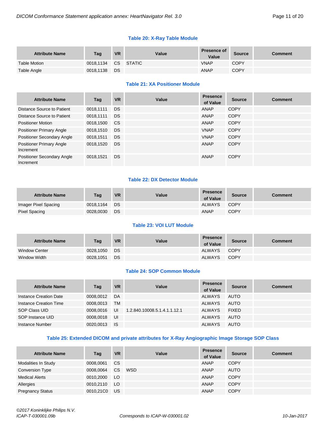# **Table 20: X-Ray Table Module**

| <b>Attribute Name</b> | Tag       | <b>VR</b> | Value     | <b>Presence of</b><br>Value | <b>Source</b> | Comment |
|-----------------------|-----------|-----------|-----------|-----------------------------|---------------|---------|
| <b>Table Motion</b>   | 0018.1134 |           | CS STATIC | <b>VNAP</b>                 | COPY          |         |
| Table Angle           | 0018,1138 | <b>DS</b> |           | <b>ANAP</b>                 | <b>COPY</b>   |         |

# **Table 21: XA Positioner Module**

| <b>Attribute Name</b>                          | Taq       | <b>VR</b> | Value | <b>Presence</b><br>of Value | <b>Source</b> | <b>Comment</b> |
|------------------------------------------------|-----------|-----------|-------|-----------------------------|---------------|----------------|
| Distance Source to Patient                     | 0018.1111 | DS.       |       | ANAP                        | <b>COPY</b>   |                |
| Distance Source to Patient                     | 0018,1111 | <b>DS</b> |       | ANAP                        | <b>COPY</b>   |                |
| <b>Positioner Motion</b>                       | 0018,1500 | <b>CS</b> |       | ANAP                        | <b>COPY</b>   |                |
| <b>Positioner Primary Angle</b>                | 0018,1510 | <b>DS</b> |       | <b>VNAP</b>                 | <b>COPY</b>   |                |
| <b>Positioner Secondary Angle</b>              | 0018.1511 | <b>DS</b> |       | <b>VNAP</b>                 | <b>COPY</b>   |                |
| <b>Positioner Primary Angle</b><br>Increment   | 0018,1520 | <b>DS</b> |       | ANAP                        | <b>COPY</b>   |                |
| <b>Positioner Secondary Angle</b><br>Increment | 0018.1521 | <b>DS</b> |       | ANAP                        | <b>COPY</b>   |                |

#### **Table 22: DX Detector Module**

| <b>Attribute Name</b> | Taq       | <b>VR</b> | Value | <b>Presence</b><br>of Value | <b>Source</b> | Comment |
|-----------------------|-----------|-----------|-------|-----------------------------|---------------|---------|
| Imager Pixel Spacing  | 0018.1164 | DS        |       | <b>ALWAYS</b>               | COPY          |         |
| Pixel Spacing         | 0028.0030 | DS        |       | ANAP                        | <b>COPY</b>   |         |

# **Table 23: VOI LUT Module**

| <b>Attribute Name</b> | Tag       | <b>VR</b> | Value | <b>Presence</b><br>of Value | <b>Source</b> | Comment |
|-----------------------|-----------|-----------|-------|-----------------------------|---------------|---------|
| <b>Window Center</b>  | 0028.1050 | DS        |       | ALWAYS                      | COPY          |         |
| Window Width          | 0028,1051 | <b>DS</b> |       | <b>ALWAYS</b>               | <b>COPY</b>   |         |

# **Table 24: SOP Common Module**

| <b>Attribute Name</b>  | Tag       | <b>VR</b> | Value                        | <b>Presence</b><br>of Value | <b>Source</b> | <b>Comment</b> |
|------------------------|-----------|-----------|------------------------------|-----------------------------|---------------|----------------|
| Instance Creation Date | 0008.0012 | DA        |                              | <b>ALWAYS</b>               | AUTO          |                |
| Instance Creation Time | 0008.0013 | <b>TM</b> |                              | ALWAYS                      | AUTO          |                |
| SOP Class UID          | 0008.0016 | UI        | 1.2.840.10008.5.1.4.1.1.12.1 | ALWAYS                      | <b>FIXED</b>  |                |
| SOP Instance UID       | 0008.0018 | - UI      |                              | <b>ALWAYS</b>               | AUTO          |                |
| Instance Number        | 0020.0013 | - IS      |                              | <b>ALWAYS</b>               | AUTO          |                |

#### **Table 25: Extended DICOM and private attributes for X-Ray Angiographic Image Storage SOP Class**

| <b>Attribute Name</b>   | Tag       | <b>VR</b> | Value      | <b>Presence</b><br>of Value | <b>Source</b> | <b>Comment</b> |
|-------------------------|-----------|-----------|------------|-----------------------------|---------------|----------------|
| Modalities In Study     | 0008.0061 | CS.       |            | ANAP                        | <b>COPY</b>   |                |
| <b>Conversion Type</b>  | 0008.0064 | CS.       | <b>WSD</b> | ANAP                        | <b>AUTO</b>   |                |
| <b>Medical Alerts</b>   | 0010,2000 | <b>LO</b> |            | <b>ANAP</b>                 | <b>COPY</b>   |                |
| Allergies               | 0010,2110 | <b>LO</b> |            | <b>ANAP</b>                 | <b>COPY</b>   |                |
| <b>Pregnancy Status</b> | 0010,21C0 | US.       |            | <b>ANAP</b>                 | <b>COPY</b>   |                |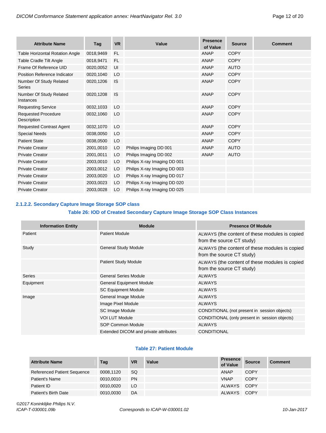| <b>Attribute Name</b>                     | Tag       | <b>VR</b> | Value                        | <b>Presence</b><br>of Value | <b>Source</b> | <b>Comment</b> |
|-------------------------------------------|-----------|-----------|------------------------------|-----------------------------|---------------|----------------|
| <b>Table Horizontal Rotation Angle</b>    | 0018,9469 | <b>FL</b> |                              | <b>ANAP</b>                 | <b>COPY</b>   |                |
| Table Cradle Tilt Angle                   | 0018,9471 | <b>FL</b> |                              | <b>ANAP</b>                 | <b>COPY</b>   |                |
| Frame Of Reference UID                    | 0020,0052 | UI        |                              | <b>ANAP</b>                 | <b>AUTO</b>   |                |
| Position Reference Indicator              | 0020,1040 | LO        |                              | <b>ANAP</b>                 | <b>COPY</b>   |                |
| Number Of Study Related<br>Series         | 0020,1206 | <b>IS</b> |                              | <b>ANAP</b>                 | <b>COPY</b>   |                |
| Number Of Study Related<br>Instances      | 0020,1208 | <b>IS</b> |                              | <b>ANAP</b>                 | <b>COPY</b>   |                |
| <b>Requesting Service</b>                 | 0032,1033 | LO        |                              | <b>ANAP</b>                 | <b>COPY</b>   |                |
| <b>Requested Procedure</b><br>Description | 0032,1060 | LO        |                              | <b>ANAP</b>                 | <b>COPY</b>   |                |
| <b>Requested Contrast Agent</b>           | 0032,1070 | LO        |                              | <b>ANAP</b>                 | <b>COPY</b>   |                |
| <b>Special Needs</b>                      | 0038,0050 | LO        |                              | <b>ANAP</b>                 | <b>COPY</b>   |                |
| <b>Patient State</b>                      | 0038,0500 | LO        |                              | <b>ANAP</b>                 | <b>COPY</b>   |                |
| <b>Private Creator</b>                    | 2001,0010 | LO        | Philips Imaging DD 001       | <b>ANAP</b>                 | <b>AUTO</b>   |                |
| <b>Private Creator</b>                    | 2001,0011 | LO        | Philips Imaging DD 002       | <b>ANAP</b>                 | <b>AUTO</b>   |                |
| <b>Private Creator</b>                    | 2003,0010 | LO        | Philips X-ray Imaging DD 001 |                             |               |                |
| <b>Private Creator</b>                    | 2003,0012 | LO        | Philips X-ray Imaging DD 003 |                             |               |                |
| <b>Private Creator</b>                    | 2003,0020 | LO        | Philips X-ray Imaging DD 017 |                             |               |                |
| <b>Private Creator</b>                    | 2003,0023 | LO        | Philips X-ray Imaging DD 020 |                             |               |                |
| <b>Private Creator</b>                    | 2003,0028 | LO        | Philips X-ray Imaging DD 025 |                             |               |                |

# <span id="page-11-0"></span>**2.1.2.2. Secondary Capture Image Storage SOP class**

#### **Table 26: IOD of Created Secondary Capture Image Storage SOP Class Instances**

| <b>Information Entity</b> | <b>Module</b>                         | <b>Presence Of Module</b>                                                   |  |  |  |
|---------------------------|---------------------------------------|-----------------------------------------------------------------------------|--|--|--|
| Patient                   | <b>Patient Module</b>                 | ALWAYS (the content of these modules is copied<br>from the source CT study) |  |  |  |
| Study                     | <b>General Study Module</b>           | ALWAYS (the content of these modules is copied<br>from the source CT study) |  |  |  |
|                           | <b>Patient Study Module</b>           | ALWAYS (the content of these modules is copied<br>from the source CT study) |  |  |  |
| Series                    | <b>General Series Module</b>          | <b>ALWAYS</b>                                                               |  |  |  |
| Equipment                 | <b>General Equipment Module</b>       | <b>ALWAYS</b>                                                               |  |  |  |
|                           | <b>SC Equipment Module</b>            | <b>ALWAYS</b>                                                               |  |  |  |
| Image                     | General Image Module                  | <b>ALWAYS</b>                                                               |  |  |  |
|                           | Image Pixel Module                    | <b>ALWAYS</b>                                                               |  |  |  |
|                           | SC Image Module                       | CONDITIONAL (not present in session objects)                                |  |  |  |
|                           | <b>VOI LUT Module</b>                 | CONDITIONAL (only present in session objects)                               |  |  |  |
|                           | <b>SOP Common Module</b>              | <b>ALWAYS</b>                                                               |  |  |  |
|                           | Extended DICOM and private attributes | <b>CONDITIONAL</b>                                                          |  |  |  |

#### **Table 27: Patient Module**

| <b>Attribute Name</b>              | Tag       | <b>VR</b> | Value | <b>Presence</b><br>of Value | <b>Source</b> | <b>Comment</b> |
|------------------------------------|-----------|-----------|-------|-----------------------------|---------------|----------------|
| <b>Referenced Patient Sequence</b> | 0008.1120 | SQ.       |       | <b>ANAP</b>                 | <b>COPY</b>   |                |
| Patient's Name                     | 0010.0010 | <b>PN</b> |       | <b>VNAP</b>                 | <b>COPY</b>   |                |
| Patient ID                         | 0010.0020 | LO        |       | <b>ALWAYS</b>               | <b>COPY</b>   |                |
| Patient's Birth Date               | 0010,0030 | DA        |       | <b>ALWAYS</b>               | COPY          |                |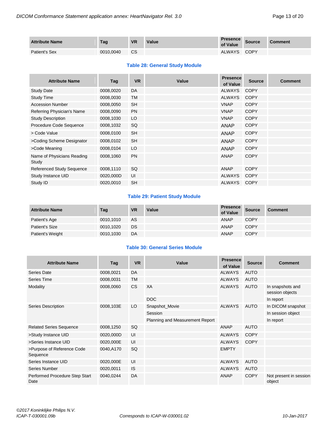| <b>Attribute Name</b> | Tag       | <b>VR</b> | Value | <b>Presence</b><br>of Value | <b>Source</b> | Comment |
|-----------------------|-----------|-----------|-------|-----------------------------|---------------|---------|
| Patient's Sex         | 0010.0040 | <b>CS</b> |       | ALWAYS                      | COPY          |         |

#### **Table 28: General Study Module**

| <b>Attribute Name</b>               | Tag       | <b>VR</b> | Value | <b>Presence</b><br>of Value | <b>Source</b> | <b>Comment</b> |
|-------------------------------------|-----------|-----------|-------|-----------------------------|---------------|----------------|
| <b>Study Date</b>                   | 0008,0020 | DA        |       | <b>ALWAYS</b>               | <b>COPY</b>   |                |
| Study Time                          | 0008,0030 | <b>TM</b> |       | <b>ALWAYS</b>               | <b>COPY</b>   |                |
| <b>Accession Number</b>             | 0008,0050 | <b>SH</b> |       | <b>VNAP</b>                 | <b>COPY</b>   |                |
| Referring Physician's Name          | 0008,0090 | <b>PN</b> |       | <b>VNAP</b>                 | <b>COPY</b>   |                |
| <b>Study Description</b>            | 0008,1030 | LO        |       | <b>VNAP</b>                 | <b>COPY</b>   |                |
| Procedure Code Sequence             | 0008,1032 | SQ        |       | <b>ANAP</b>                 | <b>COPY</b>   |                |
| > Code Value                        | 0008,0100 | <b>SH</b> |       | <b>ANAP</b>                 | <b>COPY</b>   |                |
| >Coding Scheme Designator           | 0008,0102 | <b>SH</b> |       | <b>ANAP</b>                 | <b>COPY</b>   |                |
| >Code Meaning                       | 0008,0104 | LO        |       | <b>ANAP</b>                 | <b>COPY</b>   |                |
| Name of Physicians Reading<br>Study | 0008.1060 | <b>PN</b> |       | <b>ANAP</b>                 | <b>COPY</b>   |                |
| <b>Referenced Study Sequence</b>    | 0008,1110 | SQ        |       | <b>ANAP</b>                 | <b>COPY</b>   |                |
| Study Instance UID                  | 0020,000D | UI        |       | <b>ALWAYS</b>               | <b>COPY</b>   |                |
| Study ID                            | 0020.0010 | <b>SH</b> |       | <b>ALWAYS</b>               | <b>COPY</b>   |                |

# **Table 29: Patient Study Module**

| <b>Attribute Name</b> | Tag       | <b>VR</b> | Value | <b>Presence</b><br>of Value | <b>Source</b> | <b>Comment</b> |
|-----------------------|-----------|-----------|-------|-----------------------------|---------------|----------------|
| Patient's Age         | 0010.1010 | AS        |       | <b>ANAP</b>                 | <b>COPY</b>   |                |
| <b>Patient's Size</b> | 0010,1020 | DS.       |       | ANAP                        | <b>COPY</b>   |                |
| Patient's Weight      | 0010,1030 | DA        |       | <b>ANAP</b>                 | <b>COPY</b>   |                |

# **Table 30: General Series Module**

| <b>Attribute Name</b>                  | Tag       | <b>VR</b> | Value                           | <b>Presence</b><br>of Value | <b>Source</b> | Comment                             |
|----------------------------------------|-----------|-----------|---------------------------------|-----------------------------|---------------|-------------------------------------|
| Series Date                            | 0008,0021 | DA        |                                 | <b>ALWAYS</b>               | <b>AUTO</b>   |                                     |
| Series Time                            | 0008,0031 | <b>TM</b> |                                 | <b>ALWAYS</b>               | AUTO          |                                     |
| Modality                               | 0008,0060 | <b>CS</b> | XA                              | <b>ALWAYS</b>               | <b>AUTO</b>   | In snapshots and<br>session objects |
|                                        |           |           | <b>DOC</b>                      |                             |               | In report                           |
| Series Description                     | 0008,103E | LO        | Snapshot_Movie                  | <b>ALWAYS</b>               | AUTO          | In DICOM snapshot                   |
|                                        |           |           | Session                         |                             |               | In session object                   |
|                                        |           |           | Planning and Measurement Report |                             |               | In report                           |
| <b>Related Series Sequence</b>         | 0008,1250 | <b>SQ</b> |                                 | ANAP                        | <b>AUTO</b>   |                                     |
| >Study Instance UID                    | 0020,000D | UI        |                                 | <b>ALWAYS</b>               | <b>COPY</b>   |                                     |
| >Series Instance UID                   | 0020,000E | UI        |                                 | <b>ALWAYS</b>               | <b>COPY</b>   |                                     |
| >Purpose of Reference Code<br>Sequence | 0040,A170 | SQ        |                                 | <b>EMPTY</b>                |               |                                     |
| Series Instance UID                    | 0020,000E | UI        |                                 | <b>ALWAYS</b>               | <b>AUTO</b>   |                                     |
| Series Number                          | 0020,0011 | <b>IS</b> |                                 | <b>ALWAYS</b>               | <b>AUTO</b>   |                                     |
| Performed Procedure Step Start<br>Date | 0040,0244 | DA        |                                 | ANAP                        | <b>COPY</b>   | Not present in session<br>object    |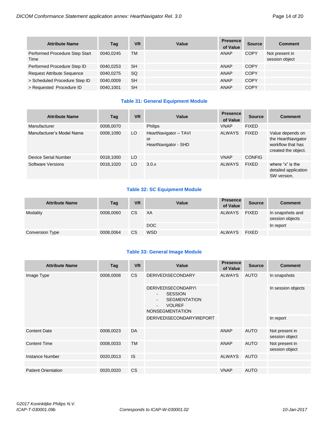| <b>Attribute Name</b>                  | Tag       | <b>VR</b> | Value | <b>Presence</b><br>of Value | <b>Source</b> | <b>Comment</b>                   |
|----------------------------------------|-----------|-----------|-------|-----------------------------|---------------|----------------------------------|
| Performed Procedure Step Start<br>Time | 0040.0245 | ТM        |       | <b>ANAP</b>                 | <b>COPY</b>   | Not present in<br>session object |
| Performed Procedure Step ID            | 0040.0253 | <b>SH</b> |       | ANAP                        | COPY          |                                  |
| <b>Request Attribute Sequence</b>      | 0040.0275 | <b>SQ</b> |       | ANAP                        | COPY          |                                  |
| > Scheduled Procedure Step ID          | 0040,0009 | <b>SH</b> |       | ANAP                        | <b>COPY</b>   |                                  |
| > Requested Procedure ID               | 0040,1001 | <b>SH</b> |       | <b>ANAP</b>                 | <b>COPY</b>   |                                  |

#### **Table 31: General Equipment Module**

| <b>Attribute Name</b>     | Tag       | <b>VR</b> | Value                                               | <b>Presence</b><br>of Value | <b>Source</b> | <b>Comment</b>                                                                     |
|---------------------------|-----------|-----------|-----------------------------------------------------|-----------------------------|---------------|------------------------------------------------------------------------------------|
| Manufacturer              | 0008,0070 |           | <b>Philips</b>                                      | <b>VNAP</b>                 | <b>FIXED</b>  |                                                                                    |
| Manufacturer's Model Name | 0008,1090 | LO        | HeartNavigator - TAVI<br>or<br>HeartNavigator - SHD | <b>ALWAYS</b>               | <b>FIXED</b>  | Value depends on<br>the HeartNavigator<br>workflow that has<br>created the object. |
| Device Serial Number      | 0018,1000 | LO        |                                                     | <b>VNAP</b>                 | <b>CONFIG</b> |                                                                                    |
| Software Versions         | 0018.1020 | LO        | 3.0.x                                               | <b>ALWAYS</b>               | <b>FIXED</b>  | where "x" is the<br>detailed application<br>SW version.                            |

# **Table 32: SC Equipment Module**

| <b>Attribute Name</b>  | Tag       | <b>VR</b> | Value      | <b>Presence</b><br>of Value | <b>Source</b> | <b>Comment</b>                      |
|------------------------|-----------|-----------|------------|-----------------------------|---------------|-------------------------------------|
| Modality               | 0008.0060 | <b>CS</b> | XA         | ALWAYS                      | <b>FIXED</b>  | In snapshots and<br>session objects |
|                        |           |           | DOC        |                             |               | In report                           |
| <b>Conversion Type</b> | 0008,0064 | <b>CS</b> | <b>WSD</b> | <b>ALWAYS</b>               | <b>FIXED</b>  |                                     |

#### **Table 33: General Image Module**

| <b>Attribute Name</b>      | Tag       | <b>VR</b> | Value                    | <b>Presence</b><br>of Value | <b>Source</b>                                                                                                                                          | <b>Comment</b>                   |  |
|----------------------------|-----------|-----------|--------------------------|-----------------------------|--------------------------------------------------------------------------------------------------------------------------------------------------------|----------------------------------|--|
| Image Type                 | 0008,0008 | CS        | <b>DERIVED\SECONDARY</b> | <b>ALWAYS</b>               | <b>AUTO</b>                                                                                                                                            | In snapshots                     |  |
|                            |           |           |                          |                             | DERIVED\SECONDARY\<br><b>SESSION</b><br>$\overline{\phantom{a}}$<br><b>SEGMENTATION</b><br>$\sim$<br><b>VOLREF</b><br>$\sim$<br><b>NONSEGMENTATION</b> |                                  |  |
|                            |           |           | DERIVED\SECONDARY\REPORT |                             |                                                                                                                                                        | In report                        |  |
| <b>Content Date</b>        | 0008,0023 | DA        |                          | ANAP                        | <b>AUTO</b>                                                                                                                                            | Not present in<br>session object |  |
| <b>Content Time</b>        | 0008,0033 | <b>TM</b> |                          | ANAP                        | <b>AUTO</b>                                                                                                                                            | Not present in<br>session object |  |
| <b>Instance Number</b>     | 0020,0013 | <b>IS</b> |                          | <b>ALWAYS</b>               | <b>AUTO</b>                                                                                                                                            |                                  |  |
|                            |           |           |                          |                             |                                                                                                                                                        |                                  |  |
| <b>Patient Orientation</b> | 0020,0020 | <b>CS</b> |                          | <b>VNAP</b>                 | <b>AUTO</b>                                                                                                                                            |                                  |  |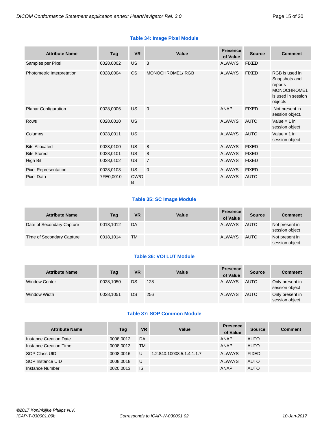# **Table 34: Image Pixel Module**

| <b>Attribute Name</b>       | Tag       | <b>VR</b> | Value           | <b>Presence</b><br>of Value | <b>Source</b> | <b>Comment</b>                                                                             |
|-----------------------------|-----------|-----------|-----------------|-----------------------------|---------------|--------------------------------------------------------------------------------------------|
| Samples per Pixel           | 0028,0002 | <b>US</b> | 3               | <b>ALWAYS</b>               | <b>FIXED</b>  |                                                                                            |
| Photometric Interpretation  | 0028,0004 | <b>CS</b> | MONOCHROME1/RGB | <b>ALWAYS</b>               | <b>FIXED</b>  | RGB is used in<br>Snapshots and<br>reports<br>MONOCHROME1<br>is used in session<br>objects |
| Planar Configuration        | 0028,0006 | <b>US</b> | $\overline{0}$  | <b>ANAP</b>                 | <b>FIXED</b>  | Not present in<br>session object.                                                          |
| <b>Rows</b>                 | 0028,0010 | <b>US</b> |                 | <b>ALWAYS</b>               | <b>AUTO</b>   | Value = $1$ in<br>session object                                                           |
| Columns                     | 0028,0011 | <b>US</b> |                 | <b>ALWAYS</b>               | <b>AUTO</b>   | Value = $1$ in<br>session object                                                           |
| <b>Bits Allocated</b>       | 0028,0100 | <b>US</b> | 8               | <b>ALWAYS</b>               | <b>FIXED</b>  |                                                                                            |
| <b>Bits Stored</b>          | 0028,0101 | <b>US</b> | 8               | <b>ALWAYS</b>               | <b>FIXED</b>  |                                                                                            |
| High Bit                    | 0028,0102 | <b>US</b> | $\overline{7}$  | <b>ALWAYS</b>               | <b>FIXED</b>  |                                                                                            |
| <b>Pixel Representation</b> | 0028,0103 | US.       | $\overline{0}$  | <b>ALWAYS</b>               | <b>FIXED</b>  |                                                                                            |
| <b>Pixel Data</b>           | 7FE0,0010 | OW/O<br>B |                 | <b>ALWAYS</b>               | <b>AUTO</b>   |                                                                                            |

# **Table 35: SC Image Module**

| <b>Attribute Name</b>     | Tag       | <b>VR</b> | <b>Value</b> | <b>Presence</b><br>of Value | <b>Source</b> | <b>Comment</b>                   |
|---------------------------|-----------|-----------|--------------|-----------------------------|---------------|----------------------------------|
| Date of Secondary Capture | 0018.1012 | DA        |              | <b>ALWAYS</b>               | <b>AUTO</b>   | Not present in<br>session object |
| Time of Secondary Capture | 0018.1014 | <b>TM</b> |              | ALWAYS                      | <b>AUTO</b>   | Not present in<br>session object |

# **Table 36: VOI LUT Module**

| <b>Attribute Name</b> | Tag       | <b>VR</b> | Value | <b>Presence</b><br>of Value | <b>Source</b> | <b>Comment</b>                    |
|-----------------------|-----------|-----------|-------|-----------------------------|---------------|-----------------------------------|
| <b>Window Center</b>  | 0028,1050 | <b>DS</b> | 128   | <b>ALWAYS</b>               | <b>AUTO</b>   | Only present in<br>session object |
| Window Width          | 0028,1051 | DS        | 256   | <b>ALWAYS</b>               | AUTO          | Only present in<br>session object |

# **Table 37: SOP Common Module**

| <b>Attribute Name</b>  | Tag       | <b>VR</b> | Value                     | <b>Presence</b><br>of Value | <b>Source</b> | <b>Comment</b> |
|------------------------|-----------|-----------|---------------------------|-----------------------------|---------------|----------------|
| Instance Creation Date | 0008.0012 | DA        |                           | ANAP                        | <b>AUTO</b>   |                |
| Instance Creation Time | 0008.0013 | TM        |                           | ANAP                        | <b>AUTO</b>   |                |
| SOP Class UID          | 0008.0016 | UI        | 1.2.840.10008.5.1.4.1.1.7 | ALWAYS                      | <b>FIXED</b>  |                |
| SOP Instance UID       | 0008.0018 | UI        |                           | ALWAYS                      | <b>AUTO</b>   |                |
| Instance Number        | 0020.0013 | <b>IS</b> |                           | ANAP                        | <b>AUTO</b>   |                |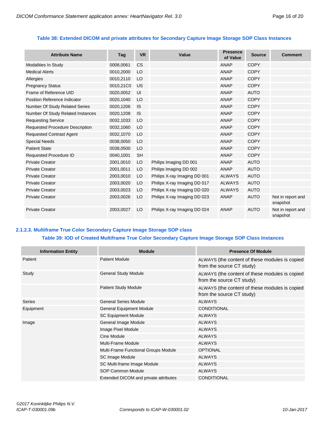# **Table 38: Extended DICOM and private attributes for Secondary Capture Image Storage SOP Class Instances**

| <b>Attribute Name</b>                  | Tag       | <b>VR</b> | Value                        | <b>Presence</b><br>of Value | <b>Source</b> | <b>Comment</b>                |
|----------------------------------------|-----------|-----------|------------------------------|-----------------------------|---------------|-------------------------------|
| Modalities In Study                    | 0008,0061 | <b>CS</b> |                              | ANAP                        | <b>COPY</b>   |                               |
| <b>Medical Alerts</b>                  | 0010,2000 | LO        |                              | ANAP                        | <b>COPY</b>   |                               |
| Allergies                              | 0010,2110 | LO        |                              | ANAP                        | <b>COPY</b>   |                               |
| <b>Pregnancy Status</b>                | 0010,21C0 | US        |                              | <b>ANAP</b>                 | <b>COPY</b>   |                               |
| Frame of Reference UID                 | 0020,0052 | UI        |                              | ANAP                        | <b>AUTO</b>   |                               |
| Position Reference Indicator           | 0020,1040 | LO        |                              | ANAP                        | <b>COPY</b>   |                               |
| Number Of Study Related Series         | 0020,1206 | <b>IS</b> |                              | <b>ANAP</b>                 | <b>COPY</b>   |                               |
| Number Of Study Related Instances      | 0020,1208 | <b>IS</b> |                              | <b>ANAP</b>                 | <b>COPY</b>   |                               |
| <b>Requesting Service</b>              | 0032,1033 | LO        |                              | <b>ANAP</b>                 | <b>COPY</b>   |                               |
| <b>Requested Procedure Description</b> | 0032,1060 | LO        |                              | <b>ANAP</b>                 | <b>COPY</b>   |                               |
| <b>Requested Contrast Agent</b>        | 0032,1070 | LO        |                              | ANAP                        | <b>COPY</b>   |                               |
| <b>Special Needs</b>                   | 0038,0050 | LO        |                              | <b>ANAP</b>                 | <b>COPY</b>   |                               |
| <b>Patient State</b>                   | 0038.0500 | LO        |                              | <b>ANAP</b>                 | <b>COPY</b>   |                               |
| Requested Procedure ID                 | 0040,1001 | <b>SH</b> |                              | ANAP                        | <b>COPY</b>   |                               |
| <b>Private Creator</b>                 | 2001,0010 | LO        | Philips Imaging DD 001       | ANAP                        | <b>AUTO</b>   |                               |
| <b>Private Creator</b>                 | 2001,0011 | LO        | Philips Imaging DD 002       | <b>ANAP</b>                 | <b>AUTO</b>   |                               |
| <b>Private Creator</b>                 | 2003,0010 | LO        | Philips X-ray Imaging DD 001 | <b>ALWAYS</b>               | <b>AUTO</b>   |                               |
| <b>Private Creator</b>                 | 2003,0020 | LO        | Philips X-ray Imaging DD 017 | <b>ALWAYS</b>               | <b>AUTO</b>   |                               |
| <b>Private Creator</b>                 | 2003,0023 | LO        | Philips X-ray Imaging DD 020 | <b>ALWAYS</b>               | <b>AUTO</b>   |                               |
| <b>Private Creator</b>                 | 2003,0026 | LO        | Philips X-ray Imaging DD 023 | <b>ANAP</b>                 | <b>AUTO</b>   | Not in report and<br>snapshot |
| <b>Private Creator</b>                 | 2003,0027 | LO        | Philips X-ray Imaging DD 024 | <b>ANAP</b>                 | <b>AUTO</b>   | Not in report and<br>snapshot |

# <span id="page-15-0"></span>**2.1.2.3. Multiframe True Color Secondary Capture Image Storage SOP class**

# **Table 39: IOD of Created Multiframe True Color Secondary Capture Image Storage SOP Class Instances**

| <b>Information Entity</b> | <b>Module</b>                         | <b>Presence Of Module</b>                                                   |  |  |  |
|---------------------------|---------------------------------------|-----------------------------------------------------------------------------|--|--|--|
| Patient                   | <b>Patient Module</b>                 | ALWAYS (the content of these modules is copied<br>from the source CT study) |  |  |  |
| Study                     | <b>General Study Module</b>           | ALWAYS (the content of these modules is copied<br>from the source CT study) |  |  |  |
|                           | <b>Patient Study Module</b>           | ALWAYS (the content of these modules is copied<br>from the source CT study) |  |  |  |
| <b>Series</b>             | <b>General Series Module</b>          | <b>ALWAYS</b>                                                               |  |  |  |
| Equipment                 | <b>General Equipment Module</b>       | <b>CONDITIONAL</b>                                                          |  |  |  |
|                           | <b>SC Equipment Module</b>            | <b>ALWAYS</b>                                                               |  |  |  |
| Image                     | General Image Module                  | <b>ALWAYS</b>                                                               |  |  |  |
|                           | Image Pixel Module                    | <b>ALWAYS</b>                                                               |  |  |  |
|                           | Cine Module                           | <b>ALWAYS</b>                                                               |  |  |  |
|                           | <b>Multi-Frame Module</b>             | <b>ALWAYS</b>                                                               |  |  |  |
|                           | Multi-Frame Functional Groups Module  | <b>OPTIONAL</b>                                                             |  |  |  |
|                           | SC Image Module                       | <b>ALWAYS</b>                                                               |  |  |  |
|                           | SC Multi-frame Image Module           | <b>ALWAYS</b>                                                               |  |  |  |
|                           | SOP Common Module                     | <b>ALWAYS</b>                                                               |  |  |  |
|                           | Extended DICOM and private attributes | <b>CONDITIONAL</b>                                                          |  |  |  |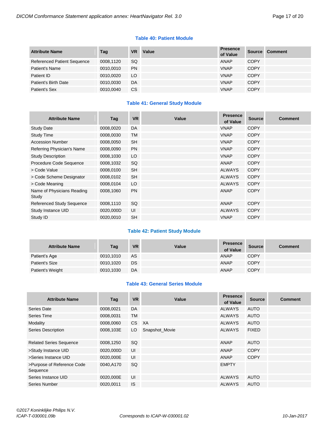#### **Table 40: Patient Module**

| <b>Attribute Name</b>              | Tag       | <b>VR</b> | Value | <b>Presence</b><br>of Value | <b>Source</b> | <b>Comment</b> |
|------------------------------------|-----------|-----------|-------|-----------------------------|---------------|----------------|
| <b>Referenced Patient Sequence</b> | 0008.1120 | SQ.       |       | ANAP                        | <b>COPY</b>   |                |
| Patient's Name                     | 0010.0010 | <b>PN</b> |       | <b>VNAP</b>                 | <b>COPY</b>   |                |
| Patient ID                         | 0010.0020 | LO.       |       | <b>VNAP</b>                 | <b>COPY</b>   |                |
| Patient's Birth Date               | 0010.0030 | DA        |       | <b>VNAP</b>                 | <b>COPY</b>   |                |
| Patient's Sex                      | 0010.0040 | CS.       |       | <b>VNAP</b>                 | <b>COPY</b>   |                |

# **Table 41: General Study Module**

| <b>Attribute Name</b>               | Tag       | <b>VR</b> | Value | <b>Presence</b><br>of Value | <b>Source</b> | <b>Comment</b> |
|-------------------------------------|-----------|-----------|-------|-----------------------------|---------------|----------------|
| <b>Study Date</b>                   | 0008,0020 | DA        |       | <b>VNAP</b>                 | <b>COPY</b>   |                |
| <b>Study Time</b>                   | 0008,0030 | <b>TM</b> |       | <b>VNAP</b>                 | <b>COPY</b>   |                |
| <b>Accession Number</b>             | 0008,0050 | <b>SH</b> |       | <b>VNAP</b>                 | <b>COPY</b>   |                |
| Referring Physician's Name          | 0008,0090 | <b>PN</b> |       | <b>VNAP</b>                 | <b>COPY</b>   |                |
| <b>Study Description</b>            | 0008,1030 | LO        |       | <b>VNAP</b>                 | <b>COPY</b>   |                |
| Procedure Code Sequence             | 0008,1032 | SQ        |       | <b>ANAP</b>                 | <b>COPY</b>   |                |
| > Code Value                        | 0008,0100 | <b>SH</b> |       | <b>ALWAYS</b>               | <b>COPY</b>   |                |
| > Code Scheme Designator            | 0008,0102 | <b>SH</b> |       | <b>ALWAYS</b>               | <b>COPY</b>   |                |
| > Code Meaning                      | 0008,0104 | LO        |       | <b>ALWAYS</b>               | <b>COPY</b>   |                |
| Name of Physicians Reading<br>Study | 0008,1060 | <b>PN</b> |       | ANAP                        | <b>COPY</b>   |                |
| <b>Referenced Study Sequence</b>    | 0008,1110 | SQ        |       | <b>ANAP</b>                 | <b>COPY</b>   |                |
| Study Instance UID                  | 0020,000D | UI        |       | <b>ALWAYS</b>               | <b>COPY</b>   |                |
| Study ID                            | 0020,0010 | <b>SH</b> |       | <b>VNAP</b>                 | <b>COPY</b>   |                |

#### **Table 42: Patient Study Module**

| <b>Attribute Name</b> | Tag       | <b>VR</b> | Value | <b>Presence</b><br>of Value | <b>Source</b> | <b>Comment</b> |
|-----------------------|-----------|-----------|-------|-----------------------------|---------------|----------------|
| Patient's Age         | 0010.1010 | AS        |       | <b>ANAP</b>                 | <b>COPY</b>   |                |
| Patient's Size        | 0010,1020 | DS.       |       | <b>ANAP</b>                 | <b>COPY</b>   |                |
| Patient's Weight      | 0010,1030 | DA        |       | <b>ANAP</b>                 | <b>COPY</b>   |                |

# **Table 43: General Series Module**

| <b>Attribute Name</b>                  | Tag       | <b>VR</b> | Value          | <b>Presence</b><br>of Value | <b>Source</b> | <b>Comment</b> |
|----------------------------------------|-----------|-----------|----------------|-----------------------------|---------------|----------------|
| Series Date                            | 0008,0021 | DA        |                | <b>ALWAYS</b>               | <b>AUTO</b>   |                |
| Series Time                            | 0008,0031 | <b>TM</b> |                | <b>ALWAYS</b>               | <b>AUTO</b>   |                |
| Modality                               | 0008,0060 | CS        | XA             | <b>ALWAYS</b>               | <b>AUTO</b>   |                |
| <b>Series Description</b>              | 0008,103E | LO.       | Snapshot Movie | <b>ALWAYS</b>               | <b>FIXED</b>  |                |
| <b>Related Series Sequence</b>         | 0008,1250 | <b>SQ</b> |                | ANAP                        | <b>AUTO</b>   |                |
| >Study Instance UID                    | 0020,000D | UI        |                | ANAP                        | <b>COPY</b>   |                |
| >Series Instance UID                   | 0020,000E | UI        |                | ANAP                        | <b>COPY</b>   |                |
| >Purpose of Reference Code<br>Sequence | 0040,A170 | <b>SQ</b> |                | <b>EMPTY</b>                |               |                |
| Series Instance UID                    | 0020,000E | UI        |                | <b>ALWAYS</b>               | <b>AUTO</b>   |                |
| <b>Series Number</b>                   | 0020,0011 | <b>IS</b> |                | <b>ALWAYS</b>               | <b>AUTO</b>   |                |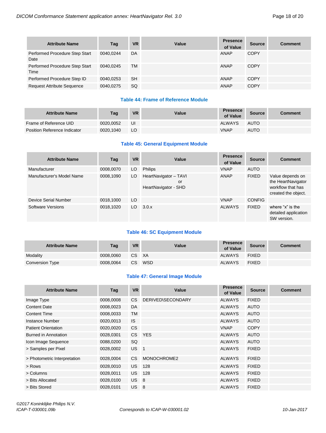| <b>Attribute Name</b>                  | Tag       | <b>VR</b> | Value | <b>Presence</b><br>of Value | <b>Source</b> | Comment |
|----------------------------------------|-----------|-----------|-------|-----------------------------|---------------|---------|
| Performed Procedure Step Start<br>Date | 0040.0244 | DA        |       | <b>ANAP</b>                 | <b>COPY</b>   |         |
| Performed Procedure Step Start<br>Time | 0040.0245 | ТM        |       | <b>ANAP</b>                 | <b>COPY</b>   |         |
| Performed Procedure Step ID            | 0040,0253 | <b>SH</b> |       | <b>ANAP</b>                 | <b>COPY</b>   |         |
| <b>Request Attribute Sequence</b>      | 0040.0275 | SQ        |       | <b>ANAP</b>                 | <b>COPY</b>   |         |

# **Table 44: Frame of Reference Module**

| <b>Attribute Name</b>        | Tag       | <b>VR</b> | Value | <b>Presence</b><br>of Value | <b>Source</b> | Comment |
|------------------------------|-----------|-----------|-------|-----------------------------|---------------|---------|
| Frame of Reference UID       | 0020.0052 | UI        |       | <b>ALWAYS</b>               | <b>AUTO</b>   |         |
| Position Reference Indicator | 0020.1040 | LO        |       | <b>VNAP</b>                 | <b>AUTO</b>   |         |

# **Table 45: General Equipment Module**

| <b>Attribute Name</b>     | Tag       | <b>VR</b> | Value                                               | <b>Presence</b><br>of Value | <b>Source</b> | <b>Comment</b>                                                                     |
|---------------------------|-----------|-----------|-----------------------------------------------------|-----------------------------|---------------|------------------------------------------------------------------------------------|
| Manufacturer              | 0008,0070 | LO.       | <b>Philips</b>                                      | <b>VNAP</b>                 | AUTO          |                                                                                    |
| Manufacturer's Model Name | 0008,1090 | LO.       | HeartNavigator - TAVI<br>or<br>HeartNavigator - SHD | ANAP                        | <b>FIXED</b>  | Value depends on<br>the HeartNavigator<br>workflow that has<br>created the object. |
| Device Serial Number      | 0018,1000 | LO        |                                                     | <b>VNAP</b>                 | <b>CONFIG</b> |                                                                                    |
| Software Versions         | 0018,1020 | LO        | 3.0.x                                               | <b>ALWAYS</b>               | <b>FIXED</b>  | where " $x$ " is the<br>detailed application<br>SW version.                        |

# **Table 46: SC Equipment Module**

| <b>Attribute Name</b> | Tag       | <b>VR</b> | Value | <b>Presence</b><br>of Value | <b>Source</b> | <b>Comment</b> |
|-----------------------|-----------|-----------|-------|-----------------------------|---------------|----------------|
| Modality              | 0008.0060 | CS XA     |       | <b>ALWAYS</b>               | <b>FIXED</b>  |                |
| Conversion Type       | 0008.0064 | CS.       | WSD   | <b>ALWAYS</b>               | <b>FIXED</b>  |                |

# **Table 47: General Image Module**

| <b>Attribute Name</b>        | Tag       | <b>VR</b>       | Value                    | <b>Presence</b><br>of Value | <b>Source</b> | <b>Comment</b> |
|------------------------------|-----------|-----------------|--------------------------|-----------------------------|---------------|----------------|
| Image Type                   | 0008,0008 | <b>CS</b>       | <b>DERIVED\SECONDARY</b> | <b>ALWAYS</b>               | <b>FIXED</b>  |                |
| <b>Content Date</b>          | 0008,0023 | DA              |                          | <b>ALWAYS</b>               | <b>AUTO</b>   |                |
| <b>Content Time</b>          | 0008,0033 | <b>TM</b>       |                          | <b>ALWAYS</b>               | <b>AUTO</b>   |                |
| Instance Number              | 0020,0013 | <b>IS</b>       |                          | <b>ALWAYS</b>               | <b>AUTO</b>   |                |
| <b>Patient Orientation</b>   | 0020,0020 | <b>CS</b>       |                          | <b>VNAP</b>                 | <b>COPY</b>   |                |
| Burned in Annotation         | 0028,0301 |                 | CS YES                   | <b>ALWAYS</b>               | <b>AUTO</b>   |                |
| Icon Image Sequence          | 0088,0200 | SQ              |                          | <b>ALWAYS</b>               | <b>AUTO</b>   |                |
| > Samples per Pixel          | 0028,0002 | US <sub>1</sub> |                          | <b>ALWAYS</b>               | <b>FIXED</b>  |                |
| > Photometric Interpretation | 0028,0004 | <b>CS</b>       | MONOCHROME2              | <b>ALWAYS</b>               | <b>FIXED</b>  |                |
| > Rows                       | 0028.0010 | US.             | 128                      | <b>ALWAYS</b>               | <b>FIXED</b>  |                |
| > Columns                    | 0028,0011 | US.             | 128                      | <b>ALWAYS</b>               | <b>FIXED</b>  |                |
| > Bits Allocated             | 0028.0100 | US <sub>8</sub> |                          | <b>ALWAYS</b>               | <b>FIXED</b>  |                |
| > Bits Stored                | 0028.0101 | <b>US</b>       | 8                        | <b>ALWAYS</b>               | <b>FIXED</b>  |                |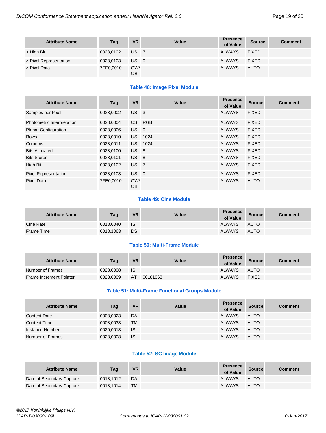| <b>Attribute Name</b>  | Tag       | <b>VR</b> | Value | <b>Presence</b><br>of Value | <b>Source</b> | <b>Comment</b> |
|------------------------|-----------|-----------|-------|-----------------------------|---------------|----------------|
| > High Bit             | 0028,0102 | US I      | 7     | <b>ALWAYS</b>               | <b>FIXED</b>  |                |
| > Pixel Representation | 0028,0103 | US 0      |       | <b>ALWAYS</b>               | <b>FIXED</b>  |                |
| > Pixel Data           | 7FE0,0010 | OW/<br>OB |       | <b>ALWAYS</b>               | <b>AUTO</b>   |                |

# **Table 48: Image Pixel Module**

| <b>Attribute Name</b>       | Tag       | <b>VR</b>        | Value      | <b>Presence</b><br>of Value | <b>Source</b> | <b>Comment</b> |
|-----------------------------|-----------|------------------|------------|-----------------------------|---------------|----------------|
| Samples per Pixel           | 0028,0002 | US <sub>3</sub>  |            | <b>ALWAYS</b>               | <b>FIXED</b>  |                |
| Photometric Interpretation  | 0028,0004 | CS               | <b>RGB</b> | <b>ALWAYS</b>               | <b>FIXED</b>  |                |
| <b>Planar Configuration</b> | 0028,0006 | $US$ 0           |            | <b>ALWAYS</b>               | <b>FIXED</b>  |                |
| <b>Rows</b>                 | 0028,0010 | US.              | 1024       | <b>ALWAYS</b>               | <b>FIXED</b>  |                |
| Columns                     | 0028,0011 | US.              | 1024       | <b>ALWAYS</b>               | <b>FIXED</b>  |                |
| <b>Bits Allocated</b>       | 0028,0100 | US <sub>8</sub>  |            | <b>ALWAYS</b>               | <b>FIXED</b>  |                |
| <b>Bits Stored</b>          | 0028,0101 | US <sub>8</sub>  |            | <b>ALWAYS</b>               | <b>FIXED</b>  |                |
| High Bit                    | 0028,0102 | US <sub>7</sub>  |            | <b>ALWAYS</b>               | <b>FIXED</b>  |                |
| <b>Pixel Representation</b> | 0028,0103 | US <sub>0</sub>  |            | <b>ALWAYS</b>               | <b>FIXED</b>  |                |
| <b>Pixel Data</b>           | 7FE0,0010 | OW/<br><b>OB</b> |            | <b>ALWAYS</b>               | <b>AUTO</b>   |                |

# **Table 49: Cine Module**

| <b>Attribute Name</b> | Tag       | <b>VR</b> | Value | <b>Presence</b><br>of Value | <b>Source</b> | <b>Comment</b> |
|-----------------------|-----------|-----------|-------|-----------------------------|---------------|----------------|
| Cine Rate             | 0018,0040 | - IS      |       | <b>ALWAYS</b>               | <b>AUTO</b>   |                |
| Frame Time            | 0018,1063 | DS        |       | <b>ALWAYS</b>               | <b>AUTO</b>   |                |

#### **Table 50: Multi-Frame Module**

| <b>Attribute Name</b>   | Tag       | <b>VR</b> | Value    | <b>Presence</b><br>of Value | Source       | <b>Comment</b> |
|-------------------------|-----------|-----------|----------|-----------------------------|--------------|----------------|
| Number of Frames        | 0028,0008 | IS        |          | <b>ALWAYS</b>               | <b>AUTO</b>  |                |
| Frame Increment Pointer | 0028,0009 | AT        | 00181063 | <b>ALWAYS</b>               | <b>FIXED</b> |                |

# **Table 51: Multi-Frame Functional Groups Module**

| <b>Attribute Name</b> | Tag       | <b>VR</b> | Value | <b>Presence</b><br>of Value | <b>Source</b> | <b>Comment</b> |
|-----------------------|-----------|-----------|-------|-----------------------------|---------------|----------------|
| <b>Content Date</b>   | 0008,0023 | DA        |       | <b>ALWAYS</b>               | <b>AUTO</b>   |                |
| <b>Content Time</b>   | 0008,0033 | TM        |       | <b>ALWAYS</b>               | AUTO          |                |
| Instance Number       | 0020,0013 | <b>IS</b> |       | <b>ALWAYS</b>               | <b>AUTO</b>   |                |
| Number of Frames      | 0028,0008 | <b>IS</b> |       | <b>ALWAYS</b>               | <b>AUTO</b>   |                |

#### **Table 52: SC Image Module**

| <b>Attribute Name</b>     | Tag       | <b>VR</b> | Value | <b>Presence</b><br>of Value | Source      | <b>Comment</b> |
|---------------------------|-----------|-----------|-------|-----------------------------|-------------|----------------|
| Date of Secondary Capture | 0018.1012 | DA        |       | <b>ALWAYS</b>               | <b>AUTO</b> |                |
| Date of Secondary Capture | 0018.1014 | <b>TM</b> |       | <b>ALWAYS</b>               | <b>AUTO</b> |                |